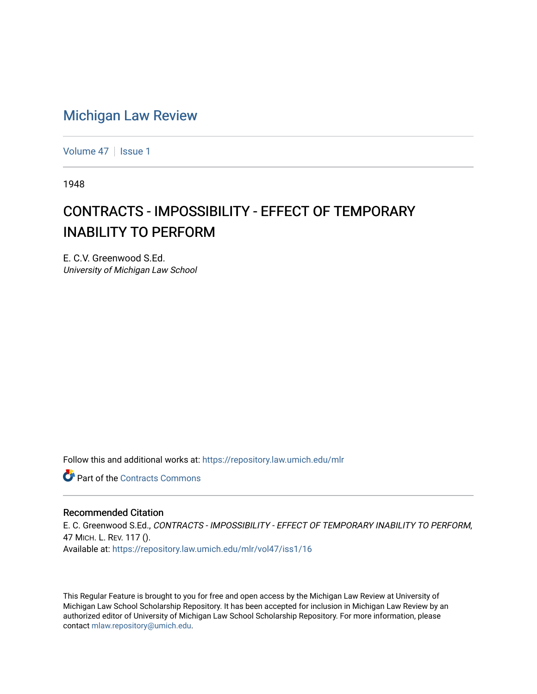## [Michigan Law Review](https://repository.law.umich.edu/mlr)

[Volume 47](https://repository.law.umich.edu/mlr/vol47) | [Issue 1](https://repository.law.umich.edu/mlr/vol47/iss1)

1948

## CONTRACTS - IMPOSSIBILITY - EFFECT OF TEMPORARY INABILITY TO PERFORM

E. C.V. Greenwood S.Ed. University of Michigan Law School

Follow this and additional works at: [https://repository.law.umich.edu/mlr](https://repository.law.umich.edu/mlr?utm_source=repository.law.umich.edu%2Fmlr%2Fvol47%2Fiss1%2F16&utm_medium=PDF&utm_campaign=PDFCoverPages) 

**C** Part of the [Contracts Commons](http://network.bepress.com/hgg/discipline/591?utm_source=repository.law.umich.edu%2Fmlr%2Fvol47%2Fiss1%2F16&utm_medium=PDF&utm_campaign=PDFCoverPages)

## Recommended Citation

E. C. Greenwood S.Ed., CONTRACTS - IMPOSSIBILITY - EFFECT OF TEMPORARY INABILITY TO PERFORM, 47 MICH. L. REV. 117 (). Available at: [https://repository.law.umich.edu/mlr/vol47/iss1/16](https://repository.law.umich.edu/mlr/vol47/iss1/16?utm_source=repository.law.umich.edu%2Fmlr%2Fvol47%2Fiss1%2F16&utm_medium=PDF&utm_campaign=PDFCoverPages) 

This Regular Feature is brought to you for free and open access by the Michigan Law Review at University of Michigan Law School Scholarship Repository. It has been accepted for inclusion in Michigan Law Review by an authorized editor of University of Michigan Law School Scholarship Repository. For more information, please contact [mlaw.repository@umich.edu](mailto:mlaw.repository@umich.edu).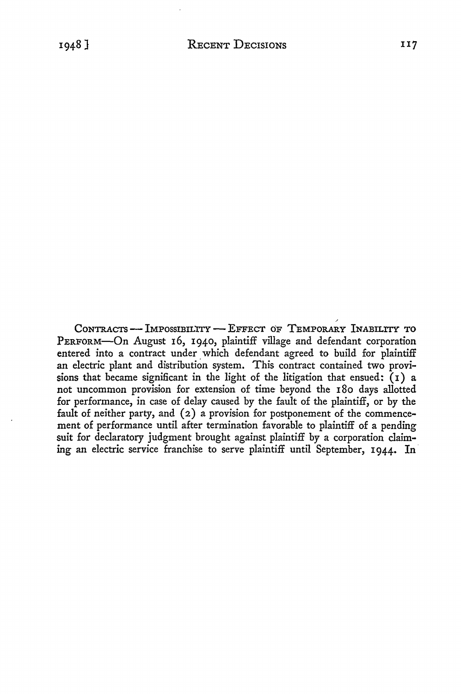, CONTRACTS --- IMPOSSIBILITY --- EFFECT OF TEMPORARY INABILITY TO PERFORM-On August 16, 1940, plaintiff village and defendant corporation entered into a contract under which defendant agreed to build for plaintiff an electric plant and distribution system. This contract contained two provisions that became significant in the light of the litigation that ensued:  $(1)$  a not uncommon provision for extension of time beyond the 180 days allotted for performance, in case of delay caused by the fault of the plaintiff, or by the fault of neither party, and (2) a provision for postponement of the commencement of performance until after termination favorable to plaintiff of a pending suit for declaratory judgment brought against plaintiff by a corporation claiming an electric service franchise to serve plaintiff until September, 1944. In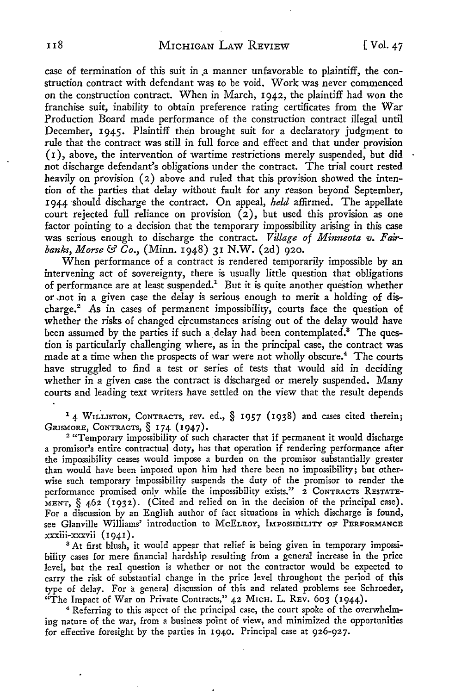case of termination of this suit in a manner unfavorable to plaintiff, the construction contract with defendant was to be void. Work was never commenced on the construction contract. When in March, 1942, the plaintiff had won the franchise suit, inability to obtain preference rating certificates from the War Production Board made performance of the construction contract illegal until December, 1945. Plaintiff then brought suit for a declaratory judgment to rule that the contract was still in full force and effect and that under provision ( 1), above, the intervention of wartime restrictions merely suspended, but did not discharge defendant's obligations under the contract. The trial court rested heavily on provision (2) above and ruled that this provision showed the intention of the parties that delay without fault for any reason beyond September, 1944 -should discharge the contract. On appeal, *held* affirmed. The appellate court rejected full reliance on provision  $(2)$ , but used this provision as one factor pointing to a decision that the temporary impossibility arising in this case was serious enough to discharge the contract. *Village of Minneota v. Fairbanks, Morse* & *Co.,* (Minn. 1948) 31 N.W. (2d) 920.

When performance of a contract is rendered temporarily impossible by an intervening act of sovereignty, there is usually little question that obligations of performance are at least suspended.<sup>1</sup> But it is quite another question whether or ,not in a given case the delay is serious enough to merit a holding of discharge.<sup>2</sup> As in cases of permanent impossibility, courts face the question of whether the risks of changed circumstances arising out of the delay would have been assumed by the parties if such a delay had been contemplated.<sup>3</sup> The question is particularly challenging where, as in the principal case, the contract was made at a time when the prospects of war were not wholly obscure.<sup>4</sup> The courts have struggled to find a test or series of tests that would aid in deciding whether in a given case the contract is discharged or merely suspended. Many courts and leading text writers have settled on the view that the result depends

<sup>1</sup> 4 WILLISTON, CONTRACTS, rev. ed., § 1957 (1938) and cases cited therein; GRISMORE, CONTRACTS, § 174 (1947).

<sup>2</sup> "Temporary impossibility of such character that if permanent it would discharge a promisor's entire contractual duty, has that operation if rendering performance after the impossibility ceases would impose a burden on the promisor substantially greater than would have been imposed upon him had there been no impossibility; but otherwise such temporary impossibility suspends the duty of the promisor to render the performance promised only while the impossibility exists." 2 CONTRACTS RESTATE-MENT, § 462 (1932). (Cited and relied on in the decision of the principal case). For a discussion by an English author of fact situations in which discharge is found, see Glanville Williams' introduction to McELROY, IMPOSSIBILITY OF PERFORMANCE xxxiii-xxxvii (1941).

<sup>3</sup> At first blush, it would appear that relief is being given in temporary impossibility cases for mere financial hardship resulting from a general increase in the price level, but the real question is whether or not the contractor would be expected to carry the risk of substantial change in the price level throughout the period of this type of delay. For a general discussion of this and related problems see Schroeder, "The Impact of War on Private Contracts,"  $42$  M1cH. L. REv. 603 (1944).

4 Referring to this aspect of the principal case, the court spoke of the overwhelming nature of the war, from a business point of view, and minimized the opportunities for effective foresight by the parties in 1940. Principal case at 926-927.